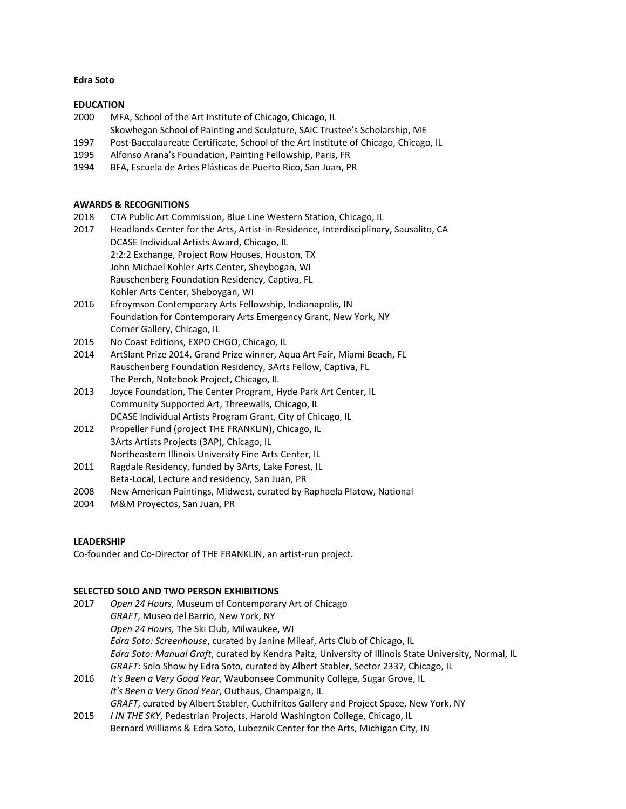### **Edra Soto**

## **EDUCATION**

- 2000 MFA, School of the Art Institute of Chicago, Chicago, IL
- Skowhegan School of Painting and Sculpture, SAIC Trustee's Scholarship, ME
- 1997 Post-Baccalaureate Certificate, School of the Art Institute of Chicago, Chicago, IL
- 1995 Alfonso Arana's Foundation, Painting Fellowship, Paris, FR
- 1994 BFA, Escuela de Artes Plásticas de Puerto Rico, San Juan, PR

### **AWARDS & RECOGNITIONS**

- 2018 CTA Public Art Commission, Blue Line Western Station, Chicago, IL
- 2017 Headlands Center for the Arts, Artist-in-Residence, Interdisciplinary, Sausalito, CA DCASE Individual Artists Award, Chicago, IL 2:2:2 Exchange, Project Row Houses, Houston, TX John Michael Kohler Arts Center, Sheybogan, WI Rauschenberg Foundation Residency, Captiva, FL Kohler Arts Center, Sheboygan, WI
- 2016 Efroymson Contemporary Arts Fellowship, Indianapolis, IN Foundation for Contemporary Arts Emergency Grant, New York, NY Corner Gallery, Chicago, IL
- 2015 No Coast Editions, EXPO CHGO, Chicago, IL
- 2014 ArtSlant Prize 2014, Grand Prize winner, Aqua Art Fair, Miami Beach, FL Rauschenberg Foundation Residency, 3Arts Fellow, Captiva, FL The Perch, Notebook Project, Chicago, IL
- 2013 Joyce Foundation, The Center Program, Hyde Park Art Center, IL Community Supported Art, Threewalls, Chicago, IL DCASE Individual Artists Program Grant, City of Chicago, IL
- 2012 Propeller Fund (project THE FRANKLIN), Chicago, IL 3Arts Artists Projects (3AP), Chicago, IL Northeastern Illinois University Fine Arts Center, IL
- 2011 Ragdale Residency, funded by 3Arts, Lake Forest, IL
- Beta-Local, Lecture and residency, San Juan, PR
- 2008 New American Paintings, Midwest, curated by Raphaela Platow, National
- 2004 M&M Proyectos, San Juan, PR

## **LEADERSHIP**

Co-founder and Co-Director of THE FRANKLIN, an artist-run project.

### **SELECTED SOLO AND TWO PERSON EXHIBITIONS**

- 2017 *Open 24 Hours*, Museum of Contemporary Art of Chicago *GRAFT*, Museo del Barrio, New York, NY *Open 24 Hours,* The Ski Club, Milwaukee, WI *Edra Soto: Screenhouse*, curated by Janine Mileaf, Arts Club of Chicago, IL *Edra Soto: Manual Graft*, curated by Kendra Paitz, University of Illinois State University, Normal, IL *GRAFT*: Solo Show by Edra Soto, curated by Albert Stabler, Sector 2337, Chicago, IL 2016 *It's Been a Very Good Year*, Waubonsee Community College, Sugar Grove, IL
- *It's Been a Very Good Year*, Outhaus, Champaign, IL *GRAFT*, curated by Albert Stabler, Cuchifritos Gallery and Project Space, New York, NY
- 2015 *I IN THE SKY*, Pedestrian Projects, Harold Washington College, Chicago, IL Bernard Williams & Edra Soto, Lubeznik Center for the Arts, Michigan City, IN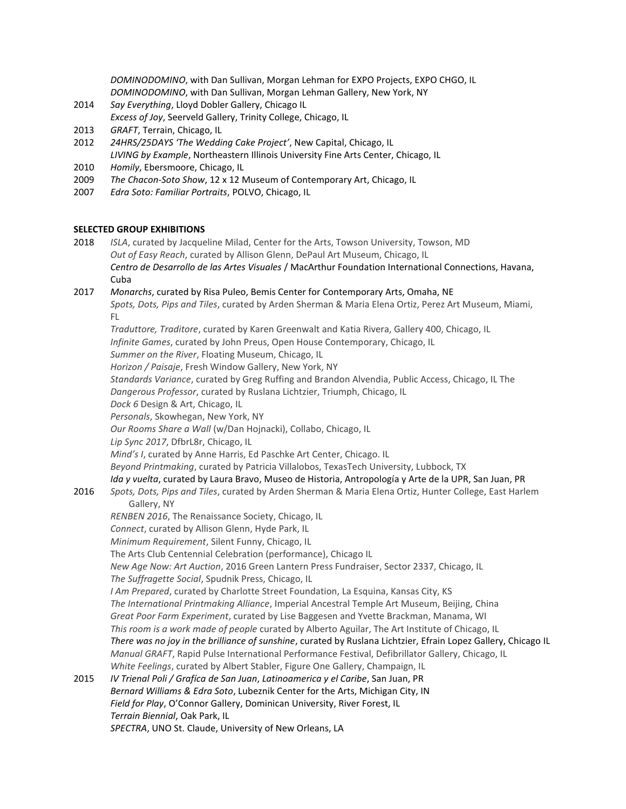*DOMINODOMINO*, with Dan Sullivan, Morgan Lehman for EXPO Projects, EXPO CHGO, IL *DOMINODOMINO*, with Dan Sullivan, Morgan Lehman Gallery, New York, NY

- 2014 *Say Everything*, Lloyd Dobler Gallery, Chicago IL *Excess of Joy*, Seerveld Gallery, Trinity College, Chicago, IL
	-
- 2013 *GRAFT*, Terrain, Chicago, IL
- 2012 *24HRS/25DAYS 'The Wedding Cake Project'*, New Capital, Chicago, IL *LIVING by Example*, Northeastern Illinois University Fine Arts Center, Chicago, IL
- 2010 *Homily*, Ebersmoore, Chicago, IL
- 2009 *The Chacon-Soto Show*, 12 x 12 Museum of Contemporary Art, Chicago, IL
- 2007 *Edra Soto: Familiar Portraits*, POLVO, Chicago, IL

# **SELECTED GROUP EXHIBITIONS**

2018 *ISLA*, curated by Jacqueline Milad, Center for the Arts, Towson University, Towson, MD *Out of Easy Reach*, curated by Allison Glenn, DePaul Art Museum, Chicago, IL *Centro de Desarrollo de las Artes Visuales* / MacArthur Foundation International Connections, Havana, Cuba

# 2017 *Monarchs*, curated by Risa Puleo, Bemis Center for Contemporary Arts, Omaha, NE

*Spots, Dots, Pips and Tiles*, curated by Arden Sherman & Maria Elena Ortiz, Perez Art Museum, Miami, FL

*Traduttore, Traditore*, curated by Karen Greenwalt and Katia Rivera, Gallery 400, Chicago, IL

*Infinite Games*, curated by John Preus, Open House Contemporary, Chicago, IL

*Summer on the River*, Floating Museum, Chicago, IL

*Horizon / Paisaje*, Fresh Window Gallery, New York, NY

*Standards Variance*, curated by Greg Ruffing and Brandon Alvendia, Public Access, Chicago, IL The

*Dangerous Professor*, curated by Ruslana Lichtzier, Triumph, Chicago, IL

*Dock 6* Design & Art, Chicago, IL *Personals*, Skowhegan, New York, NY

*Our Rooms Share a Wall* (w/Dan Hojnacki), Collabo, Chicago, IL

*Lip Sync 2017*, DfbrL8r, Chicago, IL

*Mind's I*, curated by Anne Harris, Ed Paschke Art Center, Chicago. IL

*Beyond Printmaking*, curated by Patricia Villalobos, TexasTech University, Lubbock, TX

# *Ida y vuelta*, curated by Laura Bravo, Museo de Historia, Antropología y Arte de la UPR, San Juan, PR

2016 *Spots, Dots, Pips and Tiles*, curated by Arden Sherman & Maria Elena Ortiz, Hunter College, East Harlem Gallery, NY

*RENBEN 2016*, The Renaissance Society, Chicago, IL

*Connect*, curated by Allison Glenn, Hyde Park, IL

*Minimum Requirement*, Silent Funny, Chicago, IL

The Arts Club Centennial Celebration (performance), Chicago IL

*New Age Now: Art Auction*, 2016 Green Lantern Press Fundraiser, Sector 2337, Chicago, IL

*The Suffragette Social*, Spudnik Press, Chicago, IL

*I Am Prepared*, curated by Charlotte Street Foundation, La Esquina, Kansas City, KS

*The International Printmaking Alliance*, Imperial Ancestral Temple Art Museum, Beijing, China

*Great Poor Farm Experiment*, curated by Lise Baggesen and Yvette Brackman, Manama, WI

*This room is a work made of people* curated by Alberto Aguilar, The Art Institute of Chicago, IL

*There was no joy in the brilliance of sunshine*, curated by Ruslana Lichtzier, Efrain Lopez Gallery, Chicago IL

*Manual GRAFT*, Rapid Pulse International Performance Festival, Defibrillator Gallery, Chicago, IL

*White Feelings*, curated by Albert Stabler, Figure One Gallery, Champaign, IL

2015 *IV Trienal Poli / Grafíca de San Juan*, *Latinoamerica y el Caribe*, San Juan, PR *Bernard Williams & Edra Soto*, Lubeznik Center for the Arts, Michigan City, IN *Field for Play*, O'Connor Gallery, Dominican University, River Forest, IL *Terrain Biennial*, Oak Park, IL

*SPECTRA*, UNO St. Claude, University of New Orleans, LA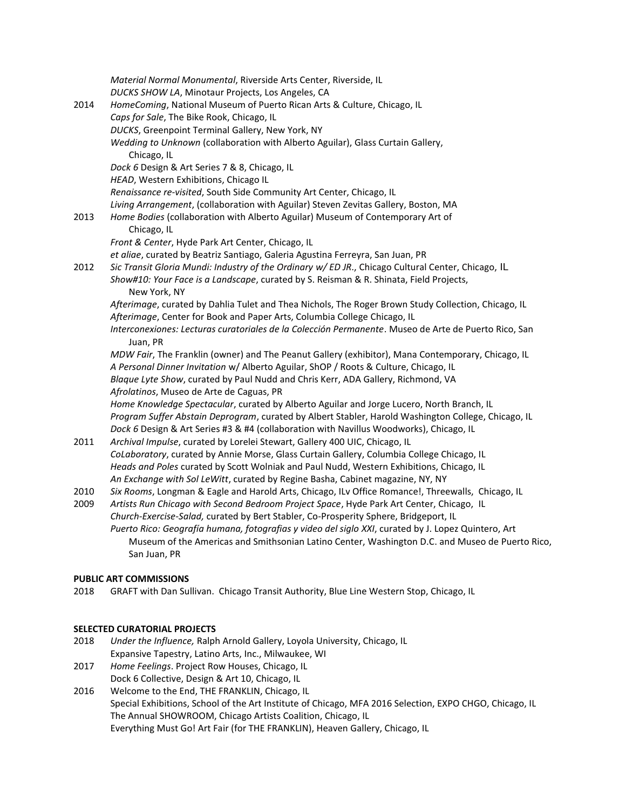*Material Normal Monumental*, Riverside Arts Center, Riverside, IL *DUCKS SHOW LA*, Minotaur Projects, Los Angeles, CA 2014 *HomeComing*, National Museum of Puerto Rican Arts & Culture, Chicago, IL *Caps for Sale*, The Bike Rook, Chicago, IL *DUCKS*, Greenpoint Terminal Gallery, New York, NY *Wedding to Unknown* (collaboration with Alberto Aguilar), Glass Curtain Gallery, Chicago, IL *Dock 6* Design & Art Series 7 & 8, Chicago, IL *HEAD*, Western Exhibitions, Chicago IL *Renaissance re-visited*, South Side Community Art Center, Chicago, IL *Living Arrangement*, (collaboration with Aguilar) Steven Zevitas Gallery, Boston, MA 2013 *Home Bodies* (collaboration with Alberto Aguilar) Museum of Contemporary Art of Chicago, IL *Front & Center*, Hyde Park Art Center, Chicago, IL *et aliae*, curated by Beatriz Santiago, Galeria Agustina Ferreyra, San Juan, PR 2012 *Sic Transit Gloria Mundi: Industry of the Ordinary w/ ED JR*., Chicago Cultural Center, Chicago, IL *Show#10: Your Face is a Landscape*, curated by S. Reisman & R. Shinata, Field Projects, New York, NY *Afterimage*, curated by Dahlia Tulet and Thea Nichols, The Roger Brown Study Collection, Chicago, IL *Afterimage*, Center for Book and Paper Arts, Columbia College Chicago, IL *Interconexiones: Lecturas curatoriales de la Colección Permanente*. Museo de Arte de Puerto Rico, San Juan, PR *MDW Fair*, The Franklin (owner) and The Peanut Gallery (exhibitor), Mana Contemporary, Chicago, IL *A Personal Dinner Invitation* w/ Alberto Aguilar, ShOP / Roots & Culture, Chicago, IL *Blaque Lyte Show*, curated by Paul Nudd and Chris Kerr, ADA Gallery, Richmond, VA *Afrolatinos*, Museo de Arte de Caguas, PR *Home Knowledge Spectacular*, curated by Alberto Aguilar and Jorge Lucero, North Branch, IL *Program Suffer Abstain Deprogram*, curated by Albert Stabler, Harold Washington College, Chicago, IL *Dock 6* Design & Art Series #3 & #4 (collaboration with Navillus Woodworks), Chicago, IL 2011 *Archival Impulse*, curated by Lorelei Stewart, Gallery 400 UIC, Chicago, IL *CoLaboratory*, curated by Annie Morse, Glass Curtain Gallery, Columbia College Chicago, IL *Heads and Poles* curated by Scott Wolniak and Paul Nudd, Western Exhibitions, Chicago, IL *An Exchange with Sol LeWitt*, curated by Regine Basha, Cabinet magazine, NY, NY 2010 *Six Rooms*, Longman & Eagle and Harold Arts, Chicago, ILv Office Romance!, Threewalls, Chicago, IL 2009 *Artists Run Chicago with Second Bedroom Project Space*, Hyde Park Art Center, Chicago, IL *Church-Exercise-Salad,* curated by Bert Stabler, Co-Prosperity Sphere, Bridgeport, IL *Puerto Rico: Geografía humana, fotografias y video del siglo XXI*, curated by J. Lopez Quintero, Art Museum of the Americas and Smithsonian Latino Center, Washington D.C. and Museo de Puerto Rico, San Juan, PR

# **PUBLIC ART COMMISSIONS**

2018 GRAFT with Dan Sullivan. Chicago Transit Authority, Blue Line Western Stop, Chicago, IL

## **SELECTED CURATORIAL PROJECTS**

- 2018 *Under the Influence,* Ralph Arnold Gallery, Loyola University, Chicago, IL Expansive Tapestry, Latino Arts, Inc., Milwaukee, WI
- 2017 *Home Feelings*. Project Row Houses, Chicago, IL
- Dock 6 Collective, Design & Art 10, Chicago, IL
- 2016 Welcome to the End, THE FRANKLIN, Chicago, IL Special Exhibitions, School of the Art Institute of Chicago, MFA 2016 Selection, EXPO CHGO, Chicago, IL The Annual SHOWROOM, Chicago Artists Coalition, Chicago, IL Everything Must Go! Art Fair (for THE FRANKLIN), Heaven Gallery, Chicago, IL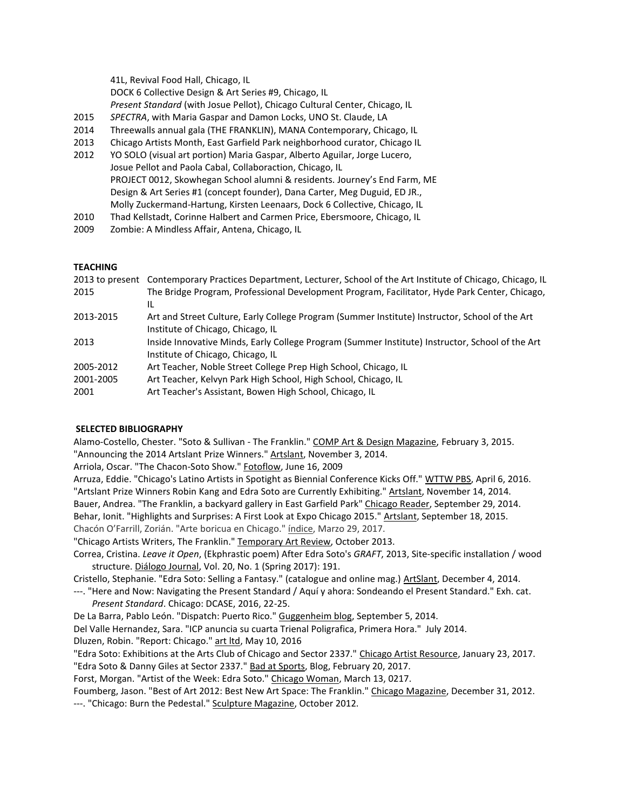41L, Revival Food Hall, Chicago, IL DOCK 6 Collective Design & Art Series #9, Chicago, IL *Present Standard* (with Josue Pellot), Chicago Cultural Center, Chicago, IL

- 2015 *SPECTRA*, with Maria Gaspar and Damon Locks, UNO St. Claude, LA
- 2014 Threewalls annual gala (THE FRANKLIN), MANA Contemporary, Chicago, IL
- 2013 Chicago Artists Month, East Garfield Park neighborhood curator, Chicago IL
- 2012 YO SOLO (visual art portion) Maria Gaspar, Alberto Aguilar, Jorge Lucero, Josue Pellot and Paola Cabal, Collaboraction, Chicago, IL PROJECT 0012, Skowhegan School alumni & residents. Journey's End Farm, ME Design & Art Series #1 (concept founder), Dana Carter, Meg Duguid, ED JR., Molly Zuckermand-Hartung, Kirsten Leenaars, Dock 6 Collective, Chicago, IL
- 2010 Thad Kellstadt, Corinne Halbert and Carmen Price, Ebersmoore, Chicago, IL
- 2009 Zombie: A Mindless Affair, Antena, Chicago, IL

## **TEACHING**

| 2013 to present Contemporary Practices Department, Lecturer, School of the Art Institute of Chicago, Chicago, IL |
|------------------------------------------------------------------------------------------------------------------|
| The Bridge Program, Professional Development Program, Facilitator, Hyde Park Center, Chicago,                    |
| IL                                                                                                               |
| Art and Street Culture, Early College Program (Summer Institute) Instructor, School of the Art                   |
| Institute of Chicago, Chicago, IL                                                                                |
| Inside Innovative Minds, Early College Program (Summer Institute) Instructor, School of the Art                  |
| Institute of Chicago, Chicago, IL                                                                                |
| Art Teacher, Noble Street College Prep High School, Chicago, IL                                                  |
| Art Teacher, Kelvyn Park High School, High School, Chicago, IL                                                   |
| Art Teacher's Assistant, Bowen High School, Chicago, IL                                                          |
|                                                                                                                  |

## **SELECTED BIBLIOGRAPHY**

Alamo-Costello, Chester. "Soto & Sullivan - The Franklin." COMP Art & Design Magazine, February 3, 2015. "Announcing the 2014 Artslant Prize Winners." Artslant, November 3, 2014.

Arriola, Oscar. "The Chacon-Soto Show." Fotoflow, June 16, 2009

Arruza, Eddie. "Chicago's Latino Artists in Spotight as Biennial Conference Kicks Off." WTTW PBS, April 6, 2016. "Artslant Prize Winners Robin Kang and Edra Soto are Currently Exhibiting." Artslant, November 14, 2014. Bauer, Andrea. "The Franklin, a backyard gallery in East Garfield Park" Chicago Reader, September 29, 2014. Behar, Ionit. "Highlights and Surprises: A First Look at Expo Chicago 2015." Artslant, September 18, 2015. Chacón O'Farrill, Zorián. "Arte boricua en Chicago." índice, Marzo 29, 2017.

"Chicago Artists Writers, The Franklin." Temporary Art Review, October 2013.

Correa, Cristina. *Leave it Open*, (Ekphrastic poem) After Edra Soto's *GRAFT*, 2013, Site-specific installation / wood structure. Diálogo Journal, Vol. 20, No. 1 (Spring 2017): 191.

Cristello, Stephanie. "Edra Soto: Selling a Fantasy." (catalogue and online mag.) ArtSlant, December 4, 2014.

---. "Here and Now: Navigating the Present Standard / Aquí y ahora: Sondeando el Present Standard." Exh. cat. *Present Standard*. Chicago: DCASE, 2016, 22-25.

De La Barra, Pablo León. "Dispatch: Puerto Rico." Guggenheim blog, September 5, 2014.

Del Valle Hernandez, Sara. "ICP anuncia su cuarta Trienal Poligrafica, Primera Hora." July 2014.

Dluzen, Robin. "Report: Chicago." art ltd, May 10, 2016

"Edra Soto: Exhibitions at the Arts Club of Chicago and Sector 2337." Chicago Artist Resource, January 23, 2017.

"Edra Soto & Danny Giles at Sector 2337." Bad at Sports, Blog, February 20, 2017.

Forst, Morgan. "Artist of the Week: Edra Soto." Chicago Woman, March 13, 0217.

Foumberg, Jason. "Best of Art 2012: Best New Art Space: The Franklin." Chicago Magazine, December 31, 2012. ---. "Chicago: Burn the Pedestal." Sculpture Magazine, October 2012.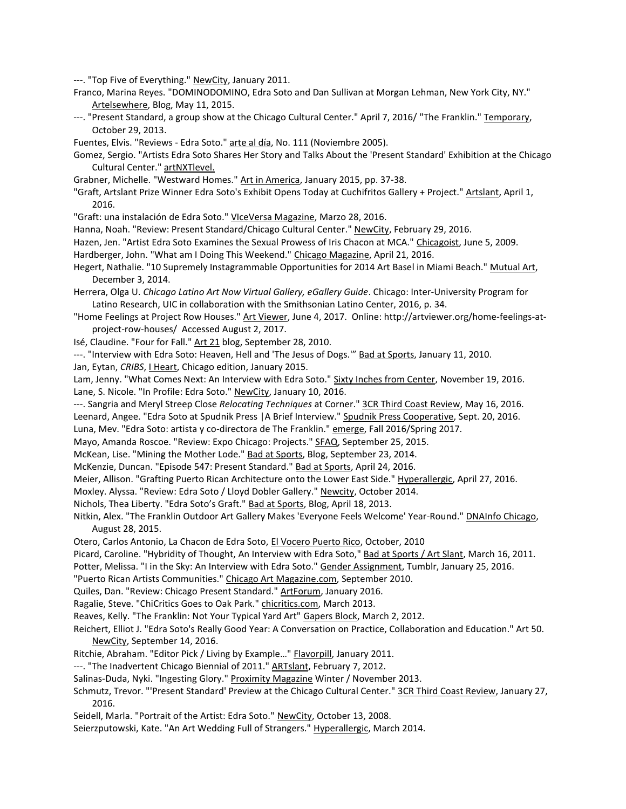---. "Top Five of Everything." NewCity, January 2011.

- Franco, Marina Reyes. "DOMINODOMINO, Edra Soto and Dan Sullivan at Morgan Lehman, New York City, NY." Artelsewhere, Blog, May 11, 2015.
- ---. "Present Standard, a group show at the Chicago Cultural Center." April 7, 2016/ "The Franklin." Temporary, October 29, 2013.

Fuentes, Elvis. "Reviews - Edra Soto." arte al día, No. 111 (Noviembre 2005).

- Gomez, Sergio. "Artists Edra Soto Shares Her Story and Talks About the 'Present Standard' Exhibition at the Chicago Cultural Center." artNXTlevel.
- Grabner, Michelle. "Westward Homes." Art in America, January 2015, pp. 37-38.
- "Graft, Artslant Prize Winner Edra Soto's Exhibit Opens Today at Cuchifritos Gallery + Project." Artslant, April 1, 2016.
- "Graft: una instalación de Edra Soto." VIceVersa Magazine, Marzo 28, 2016.
- Hanna, Noah. "Review: Present Standard/Chicago Cultural Center." NewCity, February 29, 2016.
- Hazen, Jen. "Artist Edra Soto Examines the Sexual Prowess of Iris Chacon at MCA." Chicagoist, June 5, 2009.
- Hardberger, John. "What am I Doing This Weekend." Chicago Magazine, April 21, 2016.
- Hegert, Nathalie. "10 Supremely Instagrammable Opportunities for 2014 Art Basel in Miami Beach." Mutual Art, December 3, 2014.
- Herrera, Olga U. *Chicago Latino Art Now Virtual Gallery, eGallery Guide*. Chicago: Inter-University Program for Latino Research, UIC in collaboration with the Smithsonian Latino Center, 2016, p. 34.
- "Home Feelings at Project Row Houses." Art Viewer, June 4, 2017. Online: http://artviewer.org/home-feelings-atproject-row-houses/ Accessed August 2, 2017.
- Isé, Claudine. "Four for Fall." Art 21 blog, September 28, 2010.
- ---. "Interview with Edra Soto: Heaven, Hell and 'The Jesus of Dogs."" Bad at Sports, January 11, 2010.
- Jan, Eytan, *CRIBS*, I Heart, Chicago edition, January 2015.
- Lam, Jenny. "What Comes Next: An Interview with Edra Soto." Sixty Inches from Center, November 19, 2016. Lane, S. Nicole. "In Profile: Edra Soto." NewCity, January 10, 2016.
- ---. Sangria and Meryl Streep Close *Relocating Techniques* at Corner." 3CR Third Coast Review, May 16, 2016.
- Leenard, Angee. "Edra Soto at Spudnik Press | A Brief Interview." Spudnik Press Cooperative, Sept. 20, 2016.
- Luna, Mev. "Edra Soto: artista y co-directora de The Franklin." emerge, Fall 2016/Spring 2017.
- Mayo, Amanda Roscoe. "Review: Expo Chicago: Projects." SFAQ, September 25, 2015.
- McKean, Lise. "Mining the Mother Lode." Bad at Sports, Blog, September 23, 2014.
- McKenzie, Duncan. "Episode 547: Present Standard." Bad at Sports, April 24, 2016.
- Meier, Allison. "Grafting Puerto Rican Architecture onto the Lower East Side." Hyperallergic, April 27, 2016.
- Moxley. Alyssa. "Review: Edra Soto / Lloyd Dobler Gallery." Newcity, October 2014.
- Nichols, Thea Liberty. "Edra Soto's Graft." Bad at Sports, Blog, April 18, 2013.
- Nitkin, Alex. "The Franklin Outdoor Art Gallery Makes 'Everyone Feels Welcome' Year-Round." DNAInfo Chicago, August 28, 2015.
- Otero, Carlos Antonio, La Chacon de Edra Soto, El Vocero Puerto Rico, October, 2010
- Picard, Caroline. "Hybridity of Thought, An Interview with Edra Soto," Bad at Sports / Art Slant, March 16, 2011.
- Potter, Melissa. "I in the Sky: An Interview with Edra Soto." Gender Assignment, Tumblr, January 25, 2016.

"Puerto Rican Artists Communities." Chicago Art Magazine.com, September 2010.

Quiles, Dan. "Review: Chicago Present Standard." ArtForum, January 2016.

Ragalie, Steve. "ChiCritics Goes to Oak Park." chicritics.com, March 2013.

Reaves, Kelly. "The Franklin: Not Your Typical Yard Art" Gapers Block, March 2, 2012.

- Reichert, Elliot J. "Edra Soto's Really Good Year: A Conversation on Practice, Collaboration and Education." Art 50. NewCity, September 14, 2016.
- Ritchie, Abraham. "Editor Pick / Living by Example…" Flavorpill, January 2011.
- ---. "The Inadvertent Chicago Biennial of 2011." ARTslant, February 7, 2012.
- Salinas-Duda, Nyki. "Ingesting Glory." Proximity Magazine Winter / November 2013.
- Schmutz, Trevor. "'Present Standard' Preview at the Chicago Cultural Center." 3CR Third Coast Review, January 27, 2016.
- Seidell, Marla. "Portrait of the Artist: Edra Soto." NewCity, October 13, 2008.

Seierzputowski, Kate. "An Art Wedding Full of Strangers." Hyperallergic, March 2014.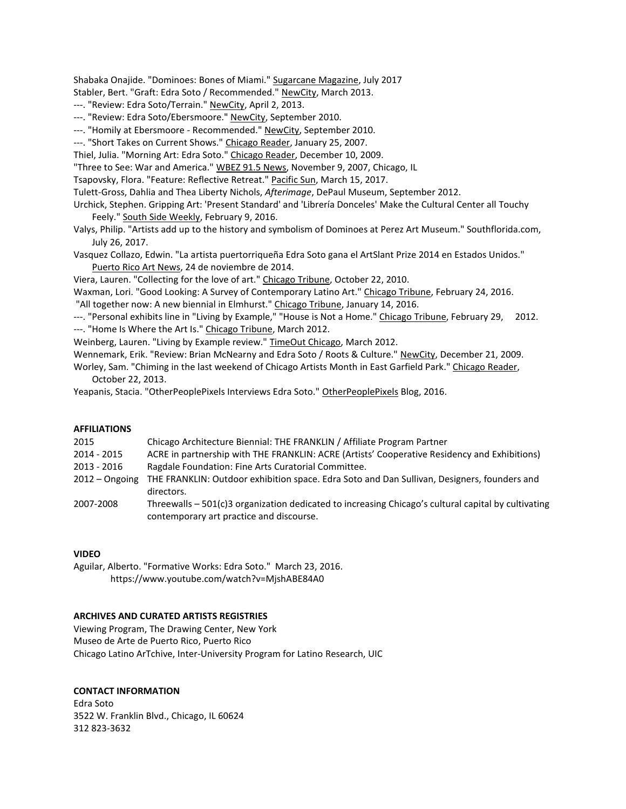Shabaka Onajide. "Dominoes: Bones of Miami." Sugarcane Magazine, July 2017

Stabler, Bert. "Graft: Edra Soto / Recommended." NewCity, March 2013.

- ---. "Review: Edra Soto/Terrain." NewCity, April 2, 2013.
- ---. "Review: Edra Soto/Ebersmoore." NewCity, September 2010.
- ---. "Homily at Ebersmoore Recommended." NewCity, September 2010.
- ---. "Short Takes on Current Shows." Chicago Reader, January 25, 2007.
- Thiel, Julia. "Morning Art: Edra Soto." Chicago Reader, December 10, 2009.
- "Three to See: War and America." WBEZ 91.5 News, November 9, 2007, Chicago, IL
- Tsapovsky, Flora. "Feature: Reflective Retreat." Pacific Sun, March 15, 2017.
- Tulett-Gross, Dahlia and Thea Liberty Nichols, *Afterimage*, DePaul Museum, September 2012.
- Urchick, Stephen. Gripping Art: 'Present Standard' and 'Librería Donceles' Make the Cultural Center all Touchy Feely." South Side Weekly, February 9, 2016.
- Valys, Philip. "Artists add up to the history and symbolism of Dominoes at Perez Art Museum." Southflorida.com, July 26, 2017.
- Vasquez Collazo, Edwin. "La artista puertorriqueña Edra Soto gana el ArtSlant Prize 2014 en Estados Unidos." Puerto Rico Art News, 24 de noviembre de 2014.

Viera, Lauren. "Collecting for the love of art." Chicago Tribune, October 22, 2010.

Waxman, Lori. "Good Looking: A Survey of Contemporary Latino Art." Chicago Tribune, February 24, 2016.

"All together now: A new biennial in Elmhurst." Chicago Tribune, January 14, 2016.

- ---. "Personal exhibits line in "Living by Example," "House is Not a Home." Chicago Tribune, February 29, 2012.
- ---. "Home Is Where the Art Is." Chicago Tribune, March 2012.

Weinberg, Lauren. "Living by Example review." TimeOut Chicago, March 2012.

Wennemark, Erik. "Review: Brian McNearny and Edra Soto / Roots & Culture." NewCity, December 21, 2009.

Worley, Sam. "Chiming in the last weekend of Chicago Artists Month in East Garfield Park." Chicago Reader, October 22, 2013.

Yeapanis, Stacia. "OtherPeoplePixels Interviews Edra Soto." OtherPeoplePixels Blog, 2016.

#### **AFFILIATIONS**

| 2015             | Chicago Architecture Biennial: THE FRANKLIN / Affiliate Program Partner                               |
|------------------|-------------------------------------------------------------------------------------------------------|
| 2014 - 2015      | ACRE in partnership with THE FRANKLIN: ACRE (Artists' Cooperative Residency and Exhibitions)          |
| 2013 - 2016      | Ragdale Foundation: Fine Arts Curatorial Committee.                                                   |
| $2012 -$ Ongoing | THE FRANKLIN: Outdoor exhibition space. Edra Soto and Dan Sullivan, Designers, founders and           |
|                  | directors.                                                                                            |
| 2007-2008        | Threewalls $-501(c)$ 3 organization dedicated to increasing Chicago's cultural capital by cultivating |
|                  | contemporary art practice and discourse.                                                              |

#### **VIDEO**

Aguilar, Alberto. "Formative Works: Edra Soto." March 23, 2016. https://www.youtube.com/watch?v=MjshABE84A0

#### **ARCHIVES AND CURATED ARTISTS REGISTRIES**

Viewing Program, The Drawing Center, New York Museo de Arte de Puerto Rico, Puerto Rico Chicago Latino ArTchive, Inter-University Program for Latino Research, UIC

### **CONTACT INFORMATION**

Edra Soto 3522 W. Franklin Blvd., Chicago, IL 60624 312 823-3632